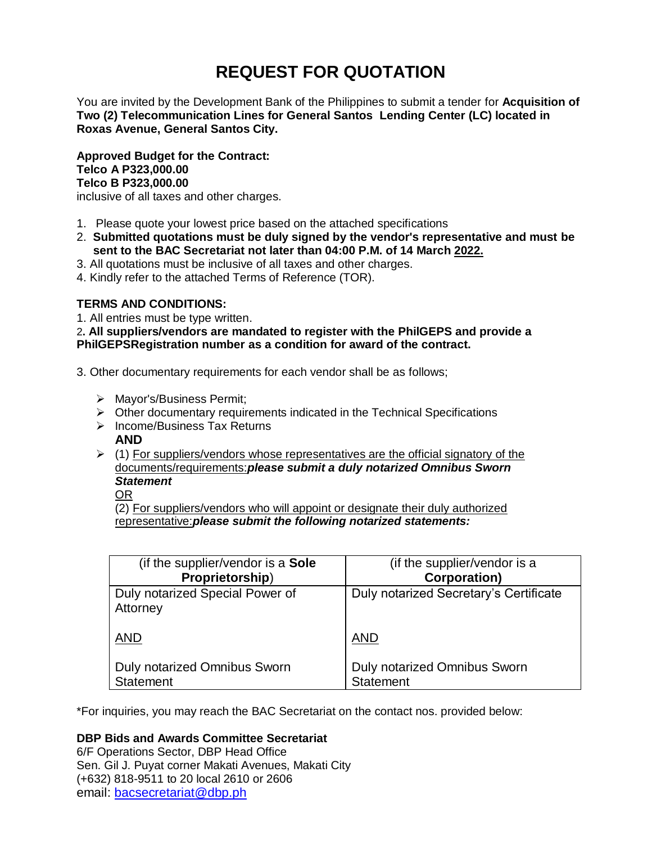# **REQUEST FOR QUOTATION**

You are invited by the Development Bank of the Philippines to submit a tender for **Acquisition of Two (2) Telecommunication Lines for General Santos Lending Center (LC) located in Roxas Avenue, General Santos City.**

**Approved Budget for the Contract: Telco A P323,000.00 Telco B P323,000.00**

inclusive of all taxes and other charges.

- 1. Please quote your lowest price based on the attached specifications
- 2. **Submitted quotations must be duly signed by the vendor's representative and must be sent to the BAC Secretariat not later than 04:00 P.M. of 14 March 2022.**
- 3. All quotations must be inclusive of all taxes and other charges.
- 4. Kindly refer to the attached Terms of Reference (TOR).

# **TERMS AND CONDITIONS:**

1. All entries must be type written.

2**. All suppliers/vendors are mandated to register with the PhilGEPS and provide a PhilGEPSRegistration number as a condition for award of the contract.**

- 3. Other documentary requirements for each vendor shall be as follows;
	- > Mayor's/Business Permit;
	- $\triangleright$  Other documentary requirements indicated in the Technical Specifications
	- $\triangleright$  Income/Business Tax Returns **AND**
	- $\triangleright$  (1) For suppliers/vendors whose representatives are the official signatory of the documents/requirements:*please submit a duly notarized Omnibus Sworn Statement*

OR

(2) For suppliers/vendors who will appoint or designate their duly authorized representative:*please submit the following notarized statements:*

| (if the supplier/vendor is a Sole           | (if the supplier/vendor is a           |
|---------------------------------------------|----------------------------------------|
| Proprietorship)                             | <b>Corporation)</b>                    |
| Duly notarized Special Power of<br>Attorney | Duly notarized Secretary's Certificate |
| <b>AND</b>                                  | <b>AND</b>                             |
| <b>Duly notarized Omnibus Sworn</b>         | <b>Duly notarized Omnibus Sworn</b>    |
| <b>Statement</b>                            | <b>Statement</b>                       |

\*For inquiries, you may reach the BAC Secretariat on the contact nos. provided below:

# **DBP Bids and Awards Committee Secretariat**

6/F Operations Sector, DBP Head Office Sen. Gil J. Puyat corner Makati Avenues, Makati City (+632) 818-9511 to 20 local 2610 or 2606 email: [bacsecretariat@dbp.ph](mailto:bacsecretariat@dbp.ph)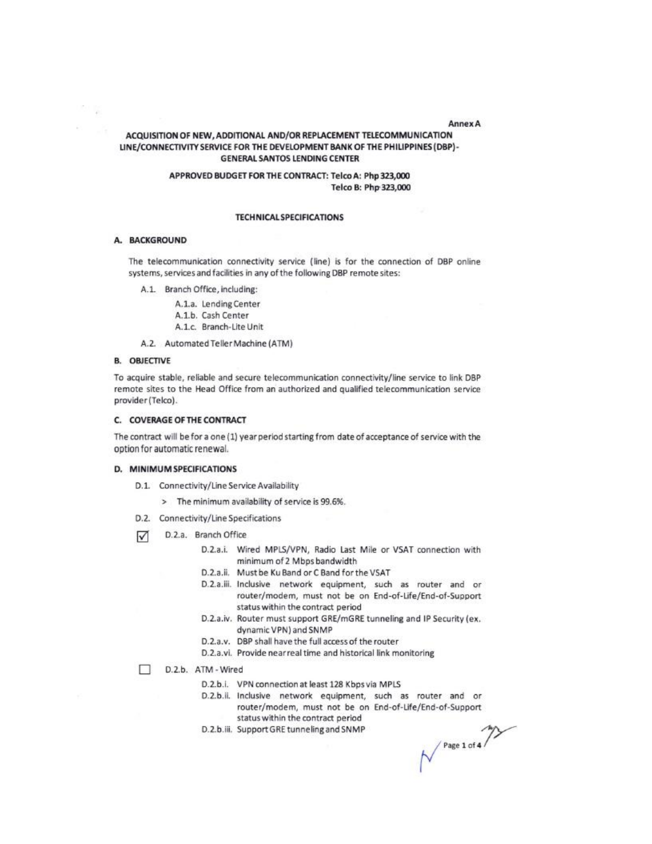#### **Annex A**

# ACQUISITION OF NEW, ADDITIONAL AND/OR REPLACEMENT TELECOMMUNICATION LINE/CONNECTIVITY SERVICE FOR THE DEVELOPMENT BANK OF THE PHILIPPINES (DBP)-**GENERAL SANTOS LENDING CENTER**

# APPROVED BUDGET FOR THE CONTRACT: Telco A: Php 323,000 Telco B: Php 323,000

# **TECHNICAL SPECIFICATIONS**

## A. BACKGROUND

The telecommunication connectivity service (line) is for the connection of DBP online systems, services and facilities in any of the following DBP remote sites:

A.1. Branch Office, including:

A.1.a. Lending Center

- A.1.b. Cash Center
- A.1.c. Branch-Lite Unit

A.2. Automated Teller Machine (ATM)

## **B. OBJECTIVE**

To acquire stable, reliable and secure telecommunication connectivity/line service to link DBP remote sites to the Head Office from an authorized and qualified telecommunication service provider (Telco).

## C. COVERAGE OF THE CONTRACT

The contract will be for a one (1) year period starting from date of acceptance of service with the option for automatic renewal.

## D. MINIMUM SPECIFICATIONS

- D.1. Connectivity/Line Service Availability
	- > The minimum availability of service is 99.6%.
- D.2. Connectivity/Line Specifications
- D.2.a. Branch Office ⊽
	- D.2.a.i. Wired MPLS/VPN, Radio Last Mile or VSAT connection with minimum of 2 Mbps bandwidth
	- D.2.a.ii. Must be Ku Band or C Band for the VSAT
	- D.2.a.iii. Inclusive network equipment, such as router and or router/modem, must not be on End-of-Life/End-of-Support status within the contract period
	- D.2.a.iv. Router must support GRE/mGRE tunneling and IP Security (ex. dynamic VPN) and SNMP
	- D.2.a.v. DBP shall have the full access of the router
	- D.2.a.vi. Provide near real time and historical link monitoring
- п D.2.b. ATM - Wired
	- D.2.b.i. VPN connection at least 128 Kbps via MPLS
	- D.2.b.ii. Inclusive network equipment, such as router and or router/modem, must not be on End-of-Life/End-of-Support status within the contract period
	- D.2.b.iii. Support GRE tunneling and SNMP

 $\left\langle \begin{array}{c} \text{Page 1 of 4} \end{array} \right\rangle$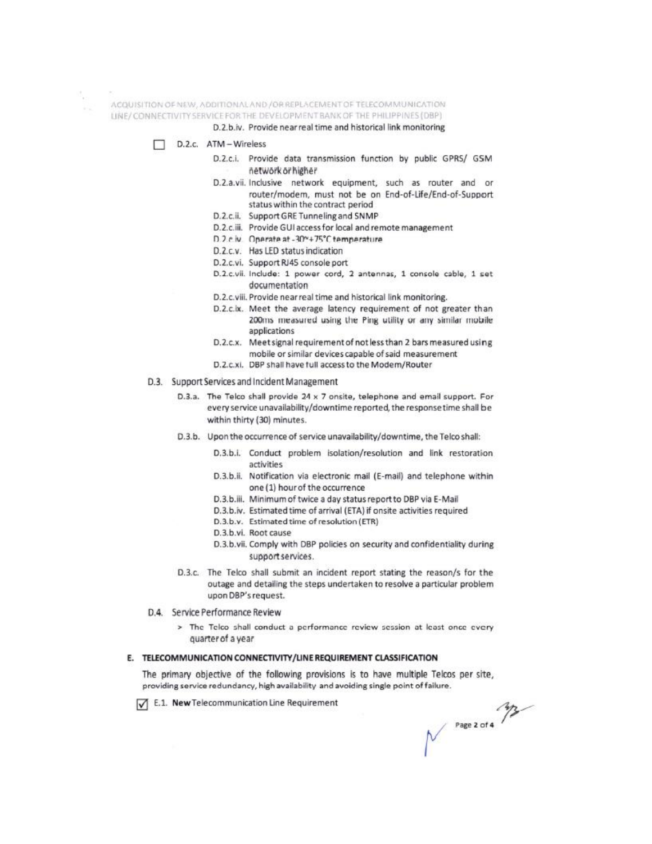ACQUISITION OF NEW, ADDITIONAL AND / OR REPLACEMENT OF TELECOMMUNICATION

LINE/CONNECTIVITY SERVICE FOR THE DEVELOPMENT BANK OF THE PHILIPPINES (DBP)

D.2.b.iv. Provide near real time and historical link monitoring

- D.2.c. ATM Wireless
	- D.2.c.i. Provide data transmission function by public GPRS/ GSM network or higher
	- D.2.a.vii. Inclusive network equipment, such as router and or router/modem, must not be on End-of-Life/End-of-Support status within the contract period
	- D.2.c.ii. Support GRE Tunneling and SNMP
	- D.2.c.iii. Provide GUI access for local and remote management
	- D.2.c.iv. Operate at -30\*+75°C temperature
	- D.2.c.v. Has LED status indication
	- D.2.c.vi. Support RJ45 console port
	- D.2.c.vii. Include: 1 power cord, 2 antennas, 1 console cable, 1 set documentation
	- D.2.c.viii. Provide near real time and historical link monitoring.
	- D.2.c.ix. Meet the average latency requirement of not greater than 200ms measured using the Ping utility or any similar mobile applications
	- D.2.c.x. Meet signal requirement of not less than 2 bars measured using mobile or similar devices capable of said measurement
	- D.2.c.xi. DBP shall have full access to the Modem/Router

#### D.3. Support Services and Incident Management

- D.3.a. The Telco shall provide 24 x 7 onsite, telephone and email support. For every service unavailability/downtime reported, the response time shall be within thirty (30) minutes.
- D.3.b. Upon the occurrence of service unavailability/downtime, the Telco shall:
	- D.3.b.i. Conduct problem isolation/resolution and link restoration activities
	- D.3.b.ii. Notification via electronic mail (E-mail) and telephone within one (1) hour of the occurrence
	- D.3.b.iii. Minimum of twice a day status report to DBP via E-Mail
	- D.3.b.iv. Estimated time of arrival (ETA) if onsite activities required
	- D.3.b.v. Estimated time of resolution (ETR)
	- D.3.b.vi. Root cause
	- D.3.b.vii. Comply with DBP policies on security and confidentiality during support services.
- D.3.c. The Telco shall submit an incident report stating the reason/s for the outage and detailing the steps undertaken to resolve a particular problem upon DBP's request.
- D.4. Service Performance Review
	- > The Telco shall conduct a performance review session at least once every quarter of a year

# E. TELECOMMUNICATION CONNECTIVITY/LINE REQUIREMENT CLASSIFICATION

The primary objective of the following provisions is to have multiple Telcos per site, providing service redundancy, high availability and avoiding single point of failure.

E.1. New Telecommunication Line Requirement

 $\begin{array}{c}\n\mathcal{M} \\
\mathcal{M}\n\end{array}$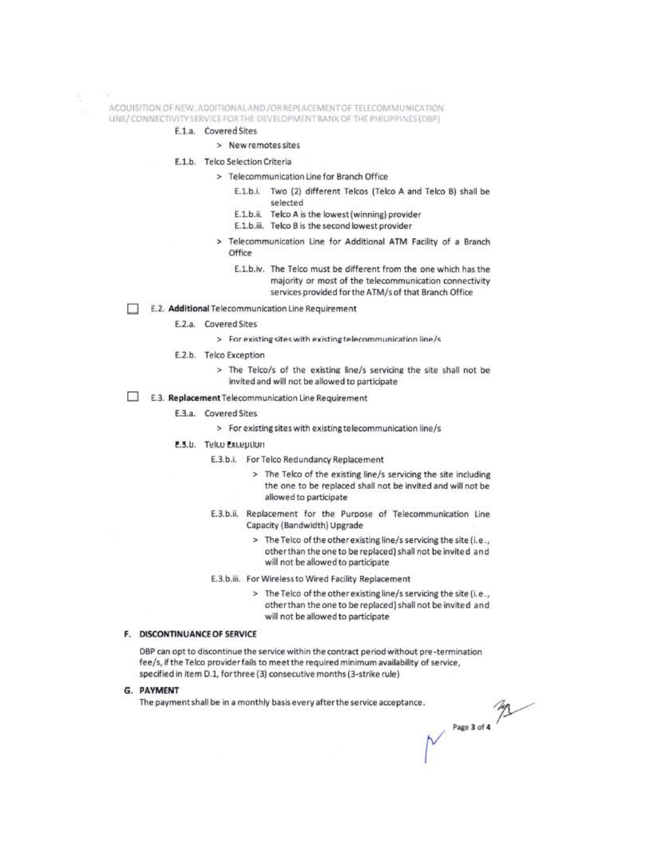## ACQUISITION OF NEW, ADDITIONAL AND /OR REPLACEMENT OF TELECOMMUNICATION LINE/CONNECTIVITY SERVICE FOR THE DEVELOPMENT BANK OF THE PHILIPPINES (DBP)

#### E.1.a. Covered Sites

# > New remotes sites

- E.1.b. Telco Selection Criteria
	- > Telecommunication Line for Branch Office
		- E.1.b.i. Two (2) different Telcos (Telco A and Telco B) shall be selected
		- E.1.b.ii. Telco A is the lowest (winning) provider
		- E.1.b.iii. Telco B is the second lowest provider
	- > Telecommunication Line for Additional ATM Facility of a Branch Office
		- E.1.b.iv. The Telco must be different from the one which has the majority or most of the telecommunication connectivity services provided for the ATM/s of that Branch Office
- E.2. Additional Telecommunication Line Requirement
	- E.2.a. Covered Sites
		- > For existing sites with existing telecommunication line/s
	- E.2.b. Telco Exception
		- > The Telco/s of the existing line/s servicing the site shall not be invited and will not be allowed to participate
- E.3. Replacement Telecommunication Line Requirement
	- E.3.a. Covered Sites
		- > For existing sites with existing telecommunication line/s
	- E.S.U. Telto Exception
		- E.3.b.i. For Telco Redundancy Replacement
			- > The Telco of the existing line/s servicing the site including the one to be replaced shall not be invited and will not be allowed to participate
		- E.3.b.ii. Replacement for the Purpose of Telecommunication Line Capacity (Bandwidth) Upgrade
			- > The Telco of the other existing line/s servicing the site (i.e., other than the one to be replaced) shall not be invited and will not be allowed to participate
		- E.3.b.iii. For Wireless to Wired Facility Replacement
			- > The Telco of the other existing line/s servicing the site (i.e., other than the one to be replaced) shall not be invited and will not be allowed to participate

#### F. DISCONTINUANCE OF SERVICE

DBP can opt to discontinue the service within the contract period without pre-termination fee/s, if the Telco provider fails to meet the required minimum availability of service, specified in item D.1, for three (3) consecutive months (3-strike rule)

G. PAYMENT

The payment shall be in a monthly basis every after the service acceptance.

Page 3 of 4